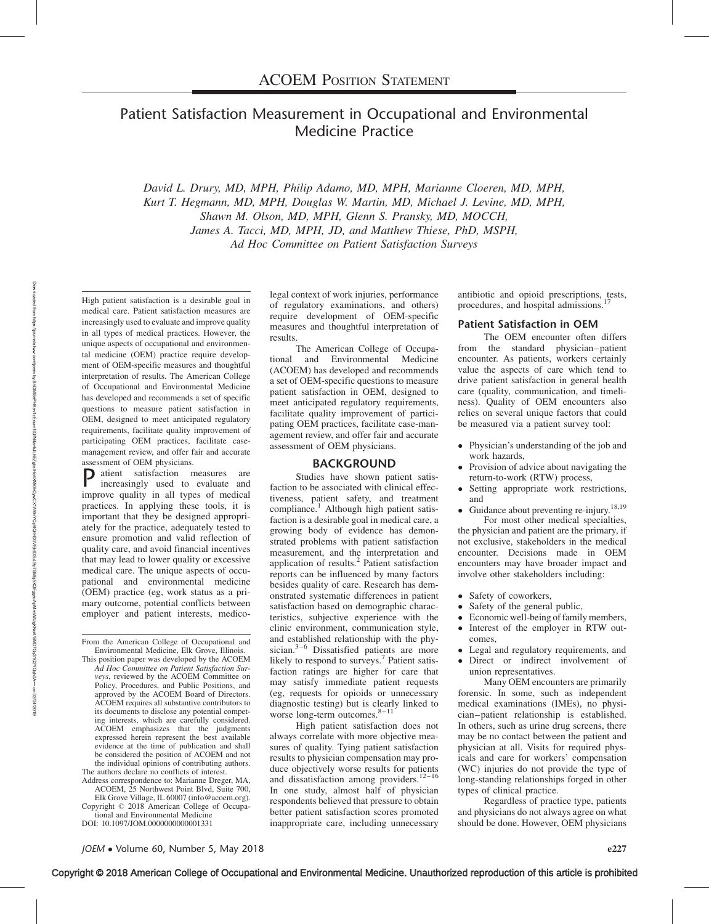# Patient Satisfaction Measurement in Occupational and Environmental Medicine Practice

David L. Drury, MD, MPH, Philip Adamo, MD, MPH, Marianne Cloeren, MD, MPH, Kurt T. Hegmann, MD, MPH, Douglas W. Martin, MD, Michael J. Levine, MD, MPH, Shawn M. Olson, MD, MPH, Glenn S. Pransky, MD, MOCCH, James A. Tacci, MD, MPH, JD, and Matthew Thiese, PhD, MSPH, Ad Hoc Committee on Patient Satisfaction Surveys

High patient satisfaction is a desirable goal in medical care. Patient satisfaction measures are increasingly used to evaluate and improve quality in all types of medical practices. However, the unique aspects of occupational and environmental medicine (OEM) practice require development of OEM-specific measures and thoughtful interpretation of results. The American College of Occupational and Environmental Medicine has developed and recommends a set of specific questions to measure patient satisfaction in OEM, designed to meet anticipated regulatory requirements, facilitate quality improvement of participating OEM practices, facilitate casemanagement review, and offer fair and accurate assessment of OEM physicians.

P atient satisfaction measures are increasingly used to evaluate and improve quality in all types of medical practices. In applying these tools, it is important that they be designed appropriately for the practice, adequately tested to ensure promotion and valid reflection of quality care, and avoid financial incentives that may lead to lower quality or excessive medical care. The unique aspects of occupational and environmental medicine (OEM) practice (eg, work status as a primary outcome, potential conflicts between employer and patient interests, medico-

From the American College of Occupational and Environmental Medicine, Elk Grove, Illinois.

This position paper was developed by the ACOEM Ad Hoc Committee on Patient Satisfaction Surveys, reviewed by the ACOEM Committee on Policy, Procedures, and Public Positions, and approved by the ACOEM Board of Directors. ACOEM requires all substantive contributors to its documents to disclose any potential competing interests, which are carefully considered. ACOEM emphasizes that the judgments expressed herein represent the best available evidence at the time of publication and shall be considered the position of ACOEM and not the individual opinions of contributing authors. The authors declare no conflicts of interest.

Address correspondence to: Marianne Dreger, MA, ACOEM, 25 Northwest Point Blvd, Suite 700,

Elk Grove Village, IL 60007 [\(info@acoem.org](mailto:info@acoem.org)). Copyright © 2018 American College of Occupational and Environmental Medicine

DOI: 10.1097/JOM.0000000000001331

legal context of work injuries, performance of regulatory examinations, and others) require development of OEM-specific measures and thoughtful interpretation of results.

The American College of Occupational and Environmental Medicine (ACOEM) has developed and recommends a set of OEM-specific questions to measure patient satisfaction in OEM, designed to meet anticipated regulatory requirements, facilitate quality improvement of participating OEM practices, facilitate case-management review, and offer fair and accurate assessment of OEM physicians.

#### BACKGROUND

Studies have shown patient satisfaction to be associated with clinical effectiveness, patient safety, and treatment compliance.<sup>1</sup> Although high patient satisfaction is a desirable goal in medical care, a growing body of evidence has demonstrated problems with patient satisfaction measurement, and the interpretation and<br>application of results.<sup>2</sup> Patient satisfaction reports can be influenced by many factors besides quality of care. Research has demonstrated systematic differences in patient satisfaction based on demographic characteristics, subjective experience with the clinic environment, communication style, and established relationship with the physician.<sup>3–6</sup> Dissatisfied patients are more likely to respond to surveys.<sup>7</sup> Patient satisfaction ratings are higher for care that may satisfy immediate patient requests (eg, requests for opioids or unnecessary diagnostic testing) but is clearly linked to worse long-term outcomes. $8-11$ 

High patient satisfaction does not always correlate with more objective measures of quality. Tying patient satisfaction results to physician compensation may produce objectively worse results for patients<br>and dissatisfaction among providers.<sup>12–16</sup> In one study, almost half of physician respondents believed that pressure to obtain better patient satisfaction scores promoted inappropriate care, including unnecessary antibiotic and opioid prescriptions, tests, procedures, and hospital admissions.<sup>1</sup>

#### Patient Satisfaction in OEM

The OEM encounter often differs from the standard physician–patient encounter. As patients, workers certainly value the aspects of care which tend to drive patient satisfaction in general health care (quality, communication, and timeliness). Quality of OEM encounters also relies on several unique factors that could be measured via a patient survey tool:

- Physician's understanding of the job and work hazards,
- - Provision of advice about navigating the return-to-work (RTW) process,
- Setting appropriate work restrictions, and
- Guidance about preventing re-injury.<sup>18,19</sup> For most other medical specialties,

the physician and patient are the primary, if not exclusive, stakeholders in the medical encounter. Decisions made in OEM encounters may have broader impact and involve other stakeholders including:

- Safety of coworkers,
- -Safety of the general public,
- - Economic well-being of family members,  $\bullet$  Interest of the employer in RTW outcomes,
- Legal and regulatory requirements, and
- Direct or indirect involvement of
	- union representatives.

Many OEM encounters are primarily forensic. In some, such as independent medical examinations (IMEs), no physician–patient relationship is established. In others, such as urine drug screens, there may be no contact between the patient and physician at all. Visits for required physicals and care for workers' compensation (WC) injuries do not provide the type of long-standing relationships forged in other types of clinical practice.

Regardless of practice type, patients and physicians do not always agree on what should be done. However, OEM physicians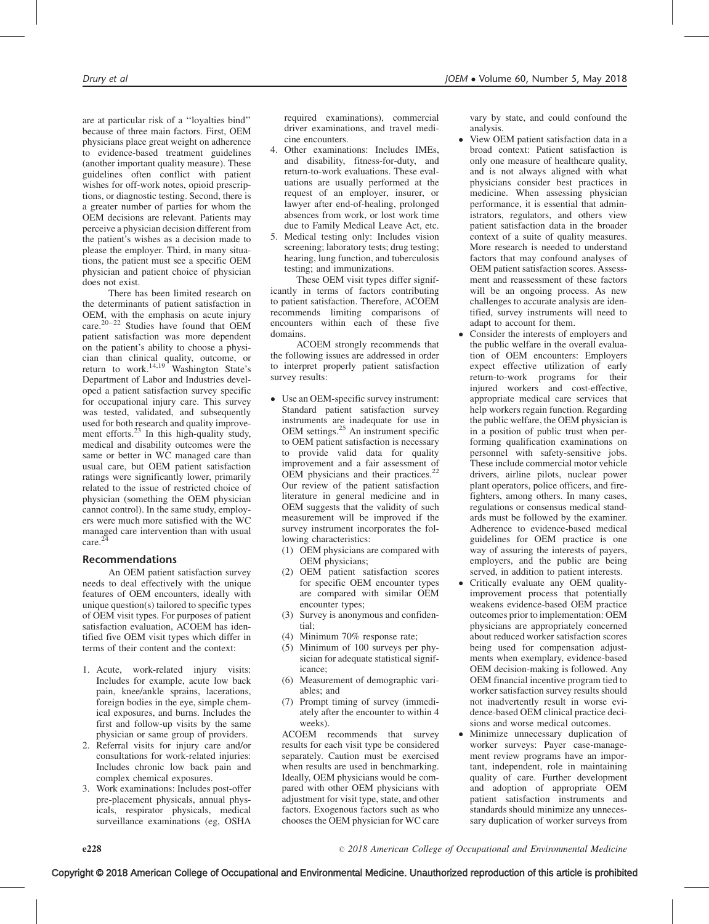are at particular risk of a ''loyalties bind'' because of three main factors. First, OEM physicians place great weight on adherence to evidence-based treatment guidelines (another important quality measure). These guidelines often conflict with patient wishes for off-work notes, opioid prescriptions, or diagnostic testing. Second, there is a greater number of parties for whom the OEM decisions are relevant. Patients may perceive a physician decision different from the patient's wishes as a decision made to please the employer. Third, in many situations, the patient must see a specific OEM physician and patient choice of physician does not exist.

There has been limited research on the determinants of patient satisfaction in OEM, with the emphasis on acute injury care.<sup>20–22</sup> Studies have found that OEM patient satisfaction was more dependent on the patient's ability to choose a physician than clinical quality, outcome, or<br>return to work.<sup>14,19</sup> Washington State's Department of Labor and Industries developed a patient satisfaction survey specific for occupational injury care. This survey was tested, validated, and subsequently used for both research and quality improvement efforts. $23$  In this high-quality study, medical and disability outcomes were the same or better in WC managed care than usual care, but OEM patient satisfaction ratings were significantly lower, primarily related to the issue of restricted choice of physician (something the OEM physician cannot control). In the same study, employers were much more satisfied with the WC managed care intervention than with usual care.<sup>2</sup>

### Recommendations

An OEM patient satisfaction survey needs to deal effectively with the unique features of OEM encounters, ideally with unique question(s) tailored to specific types of OEM visit types. For purposes of patient satisfaction evaluation, ACOEM has identified five OEM visit types which differ in terms of their content and the context:

- 1. Acute, work-related injury visits: Includes for example, acute low back pain, knee/ankle sprains, lacerations, foreign bodies in the eye, simple chemical exposures, and burns. Includes the first and follow-up visits by the same physician or same group of providers.
- 2. Referral visits for injury care and/or consultations for work-related injuries: Includes chronic low back pain and complex chemical exposures.
- 3. Work examinations: Includes post-offer pre-placement physicals, annual physicals, respirator physicals, medical surveillance examinations (eg, OSHA

required examinations), commercial driver examinations, and travel medicine encounters.

- 4. Other examinations: Includes IMEs, and disability, fitness-for-duty, and return-to-work evaluations. These evaluations are usually performed at the request of an employer, insurer, or lawyer after end-of-healing, prolonged absences from work, or lost work time due to Family Medical Leave Act, etc.
- 5. Medical testing only: Includes vision screening; laboratory tests; drug testing; hearing, lung function, and tuberculosis testing; and immunizations.

These OEM visit types differ significantly in terms of factors contributing to patient satisfaction. Therefore, ACOEM recommends limiting comparisons of encounters within each of these five domains.

ACOEM strongly recommends that the following issues are addressed in order to interpret properly patient satisfaction survey results:

- - Use an OEM-specific survey instrument: Standard patient satisfaction survey instruments are inadequate for use in OEM settings.<sup>25</sup> An instrument specific to OEM patient satisfaction is necessary to provide valid data for quality improvement and a fair assessment of OEM physicians and their practices.<sup>22</sup> Our review of the patient satisfaction literature in general medicine and in OEM suggests that the validity of such measurement will be improved if the survey instrument incorporates the following characteristics:
	- (1) OEM physicians are compared with OEM physicians;
	- (2) OEM patient satisfaction scores for specific OEM encounter types are compared with similar OEM encounter types;
	- (3) Survey is anonymous and confidential;
	- (4) Minimum 70% response rate;
	- (5) Minimum of 100 surveys per physician for adequate statistical significance;
	- (6) Measurement of demographic variables; and
	- (7) Prompt timing of survey (immediately after the encounter to within 4 weeks).

ACOEM recommends that survey results for each visit type be considered separately. Caution must be exercised when results are used in benchmarking. Ideally, OEM physicians would be compared with other OEM physicians with adjustment for visit type, state, and other factors. Exogenous factors such as who chooses the OEM physician for WC care

vary by state, and could confound the analysis.

- - View OEM patient satisfaction data in a broad context: Patient satisfaction is only one measure of healthcare quality, and is not always aligned with what physicians consider best practices in medicine. When assessing physician performance, it is essential that administrators, regulators, and others view patient satisfaction data in the broader context of a suite of quality measures. More research is needed to understand factors that may confound analyses of OEM patient satisfaction scores. Assessment and reassessment of these factors will be an ongoing process. As new challenges to accurate analysis are identified, survey instruments will need to adapt to account for them.
- - Consider the interests of employers and the public welfare in the overall evaluation of OEM encounters: Employers expect effective utilization of early return-to-work programs for their injured workers and cost-effective, appropriate medical care services that help workers regain function. Regarding the public welfare, the OEM physician is in a position of public trust when performing qualification examinations on personnel with safety-sensitive jobs. These include commercial motor vehicle drivers, airline pilots, nuclear power plant operators, police officers, and firefighters, among others. In many cases, regulations or consensus medical standards must be followed by the examiner. Adherence to evidence-based medical guidelines for OEM practice is one way of assuring the interests of payers, employers, and the public are being served, in addition to patient interests.
- - Critically evaluate any OEM qualityimprovement process that potentially weakens evidence-based OEM practice outcomes prior to implementation: OEM physicians are appropriately concerned about reduced worker satisfaction scores being used for compensation adjustments when exemplary, evidence-based OEM decision-making is followed. Any OEM financial incentive program tied to worker satisfaction survey results should not inadvertently result in worse evidence-based OEM clinical practice decisions and worse medical outcomes.
- - Minimize unnecessary duplication of worker surveys: Payer case-management review programs have an important, independent, role in maintaining quality of care. Further development and adoption of appropriate OEM patient satisfaction instruments and standards should minimize any unnecessary duplication of worker surveys from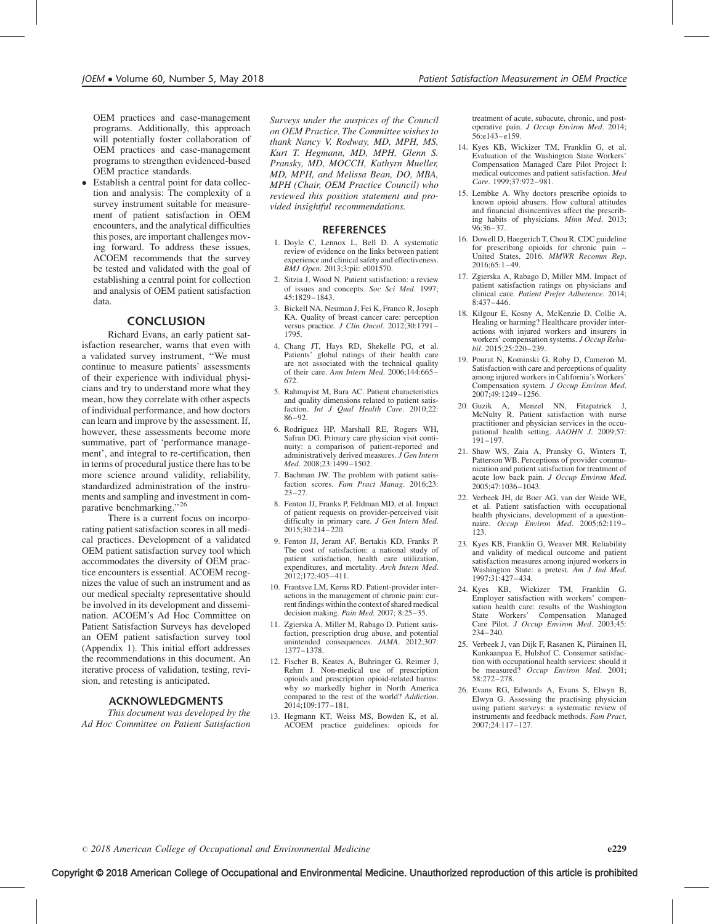OEM practices and case-management programs. Additionally, this approach will potentially foster collaboration of OEM practices and case-management programs to strengthen evidenced-based OEM practice standards.

- Establish a central point for data collection and analysis: The complexity of a survey instrument suitable for measurement of patient satisfaction in OEM encounters, and the analytical difficulties this poses, are important challenges moving forward. To address these issues, ACOEM recommends that the survey be tested and validated with the goal of establishing a central point for collection and analysis of OEM patient satisfaction data.

#### CONCLUSION

Richard Evans, an early patient satisfaction researcher, warns that even with a validated survey instrument, ''We must continue to measure patients' assessments of their experience with individual physicians and try to understand more what they mean, how they correlate with other aspects of individual performance, and how doctors can learn and improve by the assessment. If, however, these assessments become more summative, part of 'performance management', and integral to re-certification, then in terms of procedural justice there has to be more science around validity, reliability, standardized administration of the instruments and sampling and investment in comparative benchmarking."<sup>26</sup>

There is a current focus on incorporating patient satisfaction scores in all medical practices. Development of a validated OEM patient satisfaction survey tool which accommodates the diversity of OEM practice encounters is essential. ACOEM recognizes the value of such an instrument and as our medical specialty representative should be involved in its development and dissemination. ACOEM's Ad Hoc Committee on Patient Satisfaction Surveys has developed an OEM patient satisfaction survey tool (Appendix 1). This initial effort addresses the recommendations in this document. An iterative process of validation, testing, revision, and retesting is anticipated.

#### ACKNOWLEDGMENTS

This document was developed by the Ad Hoc Committee on Patient Satisfaction

Surveys under the auspices of the Council on OEM Practice. The Committee wishes to thank Nancy V. Rodway, MD, MPH, MS, Kurt T. Hegmann, MD, MPH, Glenn S. Pransky, MD, MOCCH, Kathyrn Mueller, MD, MPH, and Melissa Bean, DO, MBA, MPH (Chair, OEM Practice Council) who reviewed this position statement and provided insightful recommendations.

#### **REFERENCES**

- 1. Doyle C, Lennox L, Bell D. A systematic review of evidence on the links between patient experience and clinical safety and effectiveness. BMJ Open. 2013;3:pii: e001570.
- 2. Sitzia J, Wood N. Patient satisfaction: a review of issues and concepts. Soc Sci Med. 1997; 45:1829–1843.
- 3. Bickell NA, Neuman J, Fei K, Franco R, Joseph KA. Quality of breast cancer care: perception versus practice. J Clin Oncol. 2012;30:1791-1795.
- 4. Chang JT, Hays RD, Shekelle PG, et al. Patients' global ratings of their health care are not associated with the technical quality of their care. Ann Intern Med. 2006;144:665– 672.
- 5. Rahmqvist M, Bara AC. Patient characteristics and quality dimensions related to patient satisfaction. *Int J Qual Health Care.* 2010:22: 86–92.
- 6. Rodriguez HP, Marshall RE, Rogers WH, Safran DG. Primary care physician visit continuity: a comparison of patient-reported and administratively derived measures.  $\hat{J}$  Gen Intern Med. 2008;23:1499–1502.
- 7. Bachman JW. The problem with patient satisfaction scores. Fam Pract Manag. 2016;23: 23–27.
- 8. Fenton JJ, Franks P, Feldman MD, et al. Impact of patient requests on provider-perceived visit difficulty in primary care. J Gen Intern Med. 2015;30:214–220.
- 9. Fenton JJ, Jerant AF, Bertakis KD, Franks P. The cost of satisfaction: a national study of patient satisfaction, health care utilization, expenditures, and mortality. Arch Intern Med. 2012;172:405–411.
- 10. Frantsve LM, Kerns RD. Patient-provider interactions in the management of chronic pain: current findings within the context of shared medical decision making. Pain Med. 2007; 8:25–35.
- 11. Zgierska A, Miller M, Rabago D. Patient satisfaction, prescription drug abuse, and potential unintended consequences. JAMA. 2012;307: 1377–1378.
- 12. Fischer B, Keates A, Buhringer G, Reimer J, Rehm J. Non-medical use of prescription opioids and prescription opioid-related harms: why so markedly higher in North America compared to the rest of the world? Addiction. 2014;109:177–181.
- 13. Hegmann KT, Weiss MS, Bowden K, et al. ACOEM practice guidelines: opioids for

treatment of acute, subacute, chronic, and postoperative pain. J Occup Environ Med. 2014; 56:e143–e159.

- 14. Kyes KB, Wickizer TM, Franklin G, et al. Evaluation of the Washington State Workers' Compensation Managed Care Pilot Project I: medical outcomes and patient satisfaction. Med Care. 1999;37:972–981.
- 15. Lembke A. Why doctors prescribe opioids to known opioid abusers. How cultural attitudes and financial disincentives affect the prescribing habits of physicians. Minn Med. 2013; 96:36–37.
- 16. Dowell D, Haegerich T, Chou R. CDC guideline for prescribing opioids for chronic pain – United States, 2016. MMWR Recomm Rep. 2016;65:1–49.
- 17. Zgierska A, Rabago D, Miller MM. Impact of patient satisfaction ratings on physicians and clinical care. Patient Prefer Adherence. 2014; 8:437–446.
- 18. Kilgour E, Kosny A, McKenzie D, Collie A. Healing or harming? Healthcare provider interactions with injured workers and insurers in workers' compensation systems. J Occup Rehabil. 2015;25:220–239.
- 19. Pourat N, Kominski G, Roby D, Cameron M. Satisfaction with care and perceptions of quality among injured workers in California's Workers' Compensation system. J Occup Environ Med. 2007;49:1249–1256.
- 20. Guzik A, Menzel NN, Fitzpatrick J, McNulty R. Patient satisfaction with nurse practitioner and physician services in the occupational health setting. AAOHN J. 2009;57: 191–197.
- 21. Shaw WS, Zaia A, Pransky G, Winters T, Patterson WB. Perceptions of provider communication and patient satisfaction for treatment of acute low back pain. J Occup Environ Med. 2005;47:1036–1043.
- 22. Verbeek JH, de Boer AG, van der Weide WE, et al. Patient satisfaction with occupational health physicians, development of a questionnaire. Occup Environ Med. 2005;62:119-123.
- 23. Kyes KB, Franklin G, Weaver MR. Reliability and validity of medical outcome and patient satisfaction measures among injured workers in Washington State: a pretest. Am J Ind Med. 1997;31:427–434.
- 24. Kyes KB, Wickizer TM, Franklin G. Employer satisfaction with workers' compensation health care: results of the Washington State Workers' Compensation Managed Care Pilot. J Occup Environ Med. 2003;45: 234–240.
- 25. Verbeek J, van Dijk F, Rasanen K, Piirainen H, Kankaanpaa E, Hulshof C. Consumer satisfaction with occupational health services: should it be measured? Occup Environ Med. 2001; 58:272–278.
- 26. Evans RG, Edwards A, Evans S, Elwyn B, Elwyn G. Assessing the practising physician using patient surveys: a systematic review of instruments and feedback methods. Fam Pract. 2007;24:117–127.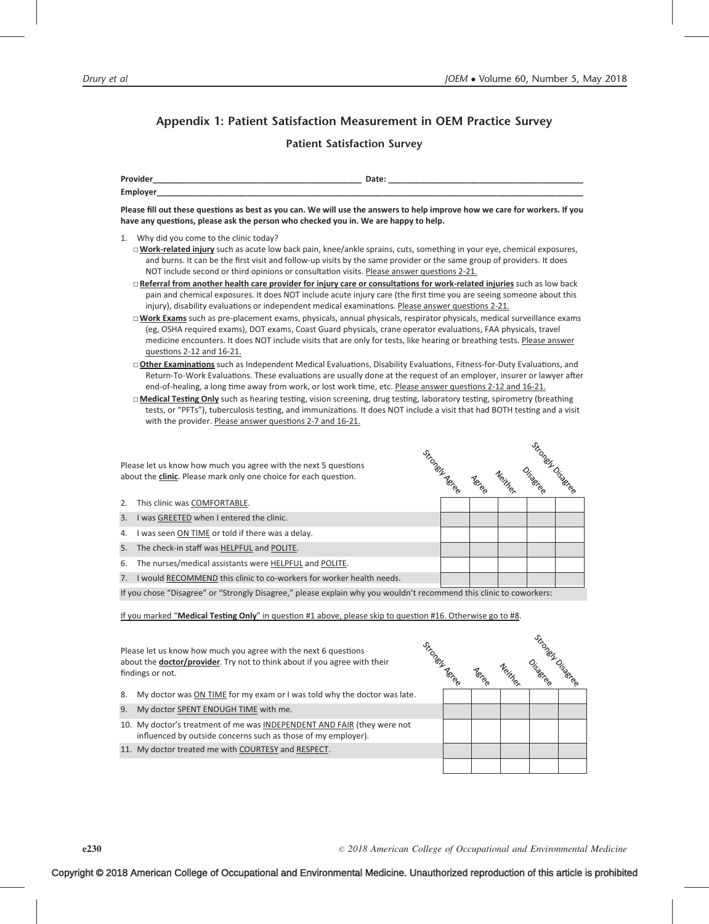## Appendix 1: Patient Satisfaction Measurement in OEM Practice Survey

## Patient Satisfaction Survey

| <b>Drovide</b>    | ____  |
|-------------------|-------|
| Employe<br>,,,,,, | _____ |

Please fill out these questions as best as you can. We will use the answers to help improve how we care for workers. If you have any questions, please ask the person who checked you in. We are happy to help.

- 1. Why did you come to the clinic today?
	- □**Work-related injury** such as acute low back pain, knee/ankle sprains, cuts, something in your eye, chemical exposures, and burns. It can be the first visit and follow-up visits by the same provider or the same group of providers. It does NOT include second or third opinions or consultation visits. Please answer questions 2-21.
	- □ Referral from another health care provider for injury care or consultations for work-related injuries such as low back pain and chemical exposures. It does NOT include acute injury care (the first time you are seeing someone about this injury), disability evaluations or independent medical examinations. Please answer questions 2-21.
	- □**Work Exams** such as pre-placement exams, physicals, annual physicals, respirator physicals, medical surveillance exams (eg, OSHA required exams), DOT exams, Coast Guard physicals, crane operator evaluations, FAA physicals, travel medicine encounters. It does NOT include visits that are only for tests, like hearing or breathing tests. Please answer questions 2-12 and 16-21.
	- □ Other Examinations such as Independent Medical Evaluations, Disability Evaluations, Fitness-for-Duty Evaluations, and Return-To-Work Evaluations. These evaluations are usually done at the request of an employer, insurer or lawyer after end-of-healing, a long time away from work, or lost work time, etc. Please answer questions 2-12 and 16-21.
	- □ Medical Testing Only such as hearing testing, vision screening, drug testing, laboratory testing, spirometry (breathing tests, or "PFTs"), tuberculosis testing, and immunizations. It does NOT include a visit that had BOTH testing and a visit with the provider. Please answer questions 2-7 and 16-21.

| Strongel Agree<br>Please let us know how much you agree with the next 5 questions<br>about the clinic. Please mark only one choice for each question. |                                                                      |  | Neithe. | stroney Disease |  |
|-------------------------------------------------------------------------------------------------------------------------------------------------------|----------------------------------------------------------------------|--|---------|-----------------|--|
| 2.                                                                                                                                                    | This clinic was COMFORTABLE.                                         |  |         |                 |  |
| 3.                                                                                                                                                    | I was GREETED when I entered the clinic.                             |  |         |                 |  |
| 4.                                                                                                                                                    | I was seen ON TIME or told if there was a delay.                     |  |         |                 |  |
| 5.                                                                                                                                                    | The check-in staff was HELPFUL and POLITE.                           |  |         |                 |  |
| 6.                                                                                                                                                    | The nurses/medical assistants were HELPFUL and POLITE.               |  |         |                 |  |
| 7.                                                                                                                                                    | I would RECOMMEND this clinic to co-workers for worker health needs. |  |         |                 |  |

If you chose "Disagree" or "Strongly Disagree," please explain why you wouldn't recommend this clinic to coworkers:

If you marked "Medical Testing Only" in question #1 above, please skip to question #16. Otherwise go to #8.

Please let us know how much you agree with the next 6 questions about the **doctor/provider**. Try not to think about if you agree with their findings or not.

- 8. My doctor was ON TIME for my exam or I was told why the doctor was late.
- 9. My doctor **SPENT ENOUGH TIME** with me.
- 10. My doctor's treatment of me was INDEPENDENT AND FAIR (they were not influenced by outside concerns such as those of my employer).
- 11. My doctor treated me with COURTESY and RESPECT.